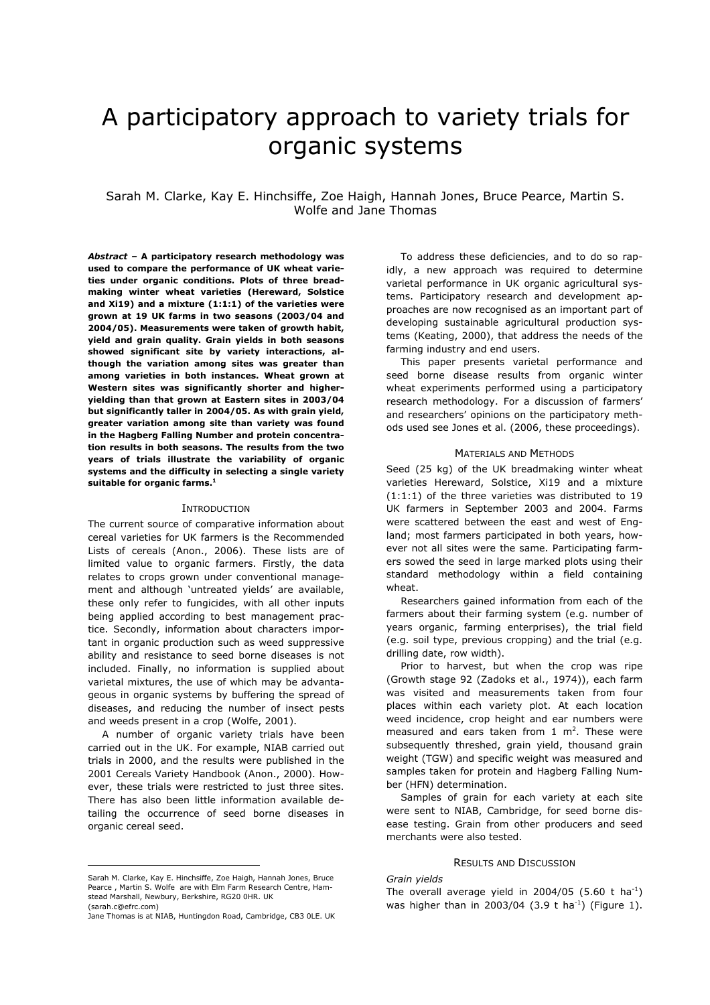# A participatory approach to variety trials for organic systems

# Sarah M. Clarke, Kay E. Hinchsiffe, Zoe Haigh, Hannah Jones, Bruce Pearce, Martin S. Wolfe and Jane Thomas

*Abstract –* **A participatory research methodology was used to compare the performance of UK wheat varieties under organic conditions. Plots of three breadmaking winter wheat varieties (Hereward, Solstice and Xi19) and a mixture (1:1:1) of the varieties were grown at 19 UK farms in two seasons (2003/04 and 2004/05). Measurements were taken of growth habit, yield and grain quality. Grain yields in both seasons showed significant site by variety interactions, although the variation among sites was greater than among varieties in both instances. Wheat grown at Western sites was significantly shorter and higheryielding than that grown at Eastern sites in 2003/04 but significantly taller in 2004/05. As with grain yield, greater variation among site than variety was found in the Hagberg Falling Number and protein concentration results in both seasons. The results from the two years of trials illustrate the variability of organic systems and the difficulty in selecting a single variety suitable for organic farms[.1](#page-0-0)**

#### INTRODUCTION

The current source of comparative information about cereal varieties for UK farmers is the Recommended Lists of cereals (Anon., 2006). These lists are of limited value to organic farmers. Firstly, the data relates to crops grown under conventional management and although 'untreated yields' are available, these only refer to fungicides, with all other inputs being applied according to best management practice. Secondly, information about characters important in organic production such as weed suppressive ability and resistance to seed borne diseases is not included. Finally, no information is supplied about varietal mixtures, the use of which may be advantageous in organic systems by buffering the spread of diseases, and reducing the number of insect pests and weeds present in a crop (Wolfe, 2001).

 A number of organic variety trials have been carried out in the UK. For example, NIAB carried out trials in 2000, and the results were published in the 2001 Cereals Variety Handbook (Anon., 2000). However, these trials were restricted to just three sites. There has also been little information available detailing the occurrence of seed borne diseases in organic cereal seed.

 $\overline{a}$ 

 To address these deficiencies, and to do so rapidly, a new approach was required to determine varietal performance in UK organic agricultural systems. Participatory research and development approaches are now recognised as an important part of developing sustainable agricultural production systems (Keating, 2000), that address the needs of the farming industry and end users.

 This paper presents varietal performance and seed borne disease results from organic winter wheat experiments performed using a participatory research methodology. For a discussion of farmers' and researchers' opinions on the participatory methods used see Jones et al. (2006, these proceedings).

# MATERIALS AND METHODS

Seed (25 kg) of the UK breadmaking winter wheat varieties Hereward, Solstice, Xi19 and a mixture (1:1:1) of the three varieties was distributed to 19 UK farmers in September 2003 and 2004. Farms were scattered between the east and west of England; most farmers participated in both years, however not all sites were the same. Participating farmers sowed the seed in large marked plots using their standard methodology within a field containing wheat.

 Researchers gained information from each of the farmers about their farming system (e.g. number of years organic, farming enterprises), the trial field (e.g. soil type, previous cropping) and the trial (e.g. drilling date, row width).

 Prior to harvest, but when the crop was ripe (Growth stage 92 (Zadoks et al., 1974)), each farm was visited and measurements taken from four places within each variety plot. At each location weed incidence, crop height and ear numbers were measured and ears taken from  $1 \text{ m}^2$ . These were subsequently threshed, grain yield, thousand grain weight (TGW) and specific weight was measured and samples taken for protein and Hagberg Falling Number (HFN) determination.

Samples of grain for each variety at each site were sent to NIAB, Cambridge, for seed borne disease testing. Grain from other producers and seed merchants were also tested.

#### RESULTS AND DISCUSSION

# *Grain yields*

<span id="page-0-0"></span>Sarah M. Clarke, Kay E. Hinchsiffe, Zoe Haigh, Hannah Jones, Bruce Pearce , Martin S. Wolfe are with Elm Farm Research Centre, Hamstead Marshall, Newbury, Berkshire, RG20 0HR. UK (sarah.c@efrc.com)

Jane Thomas is at NIAB, Huntingdon Road, Cambridge, CB3 0LE. UK

The overall average yield in 2004/05 (5.60 t ha<sup>-1</sup>) was higher than in 2003/04 (3.9 t ha<sup>-1</sup>) (Figure 1).